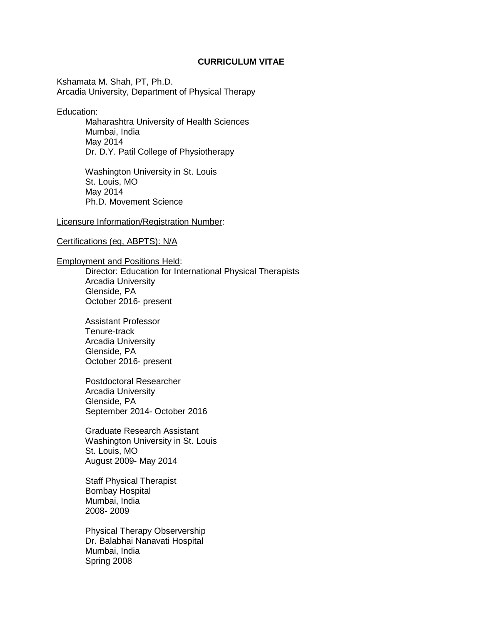# **CURRICULUM VITAE**

Kshamata M. Shah, PT, Ph.D. Arcadia University, Department of Physical Therapy

Education:

Maharashtra University of Health Sciences Mumbai, India May 2014 Dr. D.Y. Patil College of Physiotherapy

Washington University in St. Louis St. Louis, MO May 2014 Ph.D. Movement Science

# Licensure Information/Registration Number:

### Certifications (eg, ABPTS): N/A

#### Employment and Positions Held:

Director: Education for International Physical Therapists Arcadia University Glenside, PA October 2016- present

Assistant Professor Tenure-track Arcadia University Glenside, PA October 2016- present

Postdoctoral Researcher Arcadia University Glenside, PA September 2014- October 2016

Graduate Research Assistant Washington University in St. Louis St. Louis, MO August 2009- May 2014

Staff Physical Therapist Bombay Hospital Mumbai, India 2008- 2009

Physical Therapy Observership Dr. Balabhai Nanavati Hospital Mumbai, India Spring 2008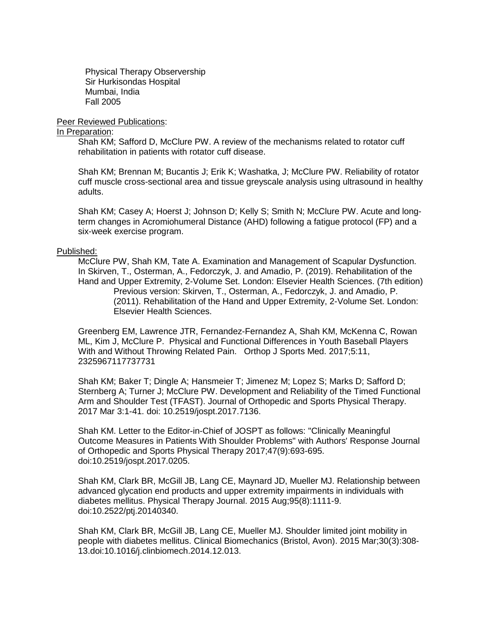Physical Therapy Observership Sir Hurkisondas Hospital Mumbai, India Fall 2005

Peer Reviewed Publications:

In Preparation:

Shah KM; Safford D, McClure PW. A review of the mechanisms related to rotator cuff rehabilitation in patients with rotator cuff disease.

Shah KM; Brennan M; Bucantis J; Erik K; Washatka, J; McClure PW. Reliability of rotator cuff muscle cross-sectional area and tissue greyscale analysis using ultrasound in healthy adults.

Shah KM; Casey A; Hoerst J; Johnson D; Kelly S; Smith N; McClure PW. Acute and longterm changes in Acromiohumeral Distance (AHD) following a fatigue protocol (FP) and a six-week exercise program.

#### Published:

McClure PW, Shah KM, Tate A. Examination and Management of Scapular Dysfunction. In Skirven, T., Osterman, A., Fedorczyk, J. and Amadio, P. (2019). Rehabilitation of the Hand and Upper Extremity, 2-Volume Set. London: Elsevier Health Sciences. (7th edition) Previous version: Skirven, T., Osterman, A., Fedorczyk, J. and Amadio, P. (2011). Rehabilitation of the Hand and Upper Extremity, 2-Volume Set. London: Elsevier Health Sciences.

Greenberg EM, Lawrence JTR, Fernandez-Fernandez A, Shah KM, McKenna C, Rowan ML, Kim J, McClure P. Physical and Functional Differences in Youth Baseball Players With and Without Throwing Related Pain. Orthop J Sports Med. 2017;5:11, 2325967117737731

Shah KM; Baker T; Dingle A; Hansmeier T; Jimenez M; Lopez S; Marks D; Safford D; Sternberg A; Turner J; McClure PW. Development and Reliability of the Timed Functional Arm and Shoulder Test (TFAST). Journal of Orthopedic and Sports Physical Therapy. 2017 Mar 3:1-41. doi: 10.2519/jospt.2017.7136.

Shah KM. Letter to the Editor-in-Chief of JOSPT as follows: "Clinically Meaningful Outcome Measures in Patients With Shoulder Problems" with Authors' Response Journal of Orthopedic and Sports Physical Therapy 2017;47(9):693-695. doi:10.2519/jospt.2017.0205.

Shah KM, Clark BR, McGill JB, Lang CE, Maynard JD, Mueller MJ. Relationship between advanced glycation end products and upper extremity impairments in individuals with diabetes mellitus. Physical Therapy Journal. 2015 Aug;95(8):1111-9. doi:10.2522/ptj.20140340.

Shah KM, Clark BR, McGill JB, Lang CE, Mueller MJ. Shoulder limited joint mobility in people with diabetes mellitus. Clinical Biomechanics (Bristol, Avon). 2015 Mar;30(3):308- 13.doi:10.1016/j.clinbiomech.2014.12.013.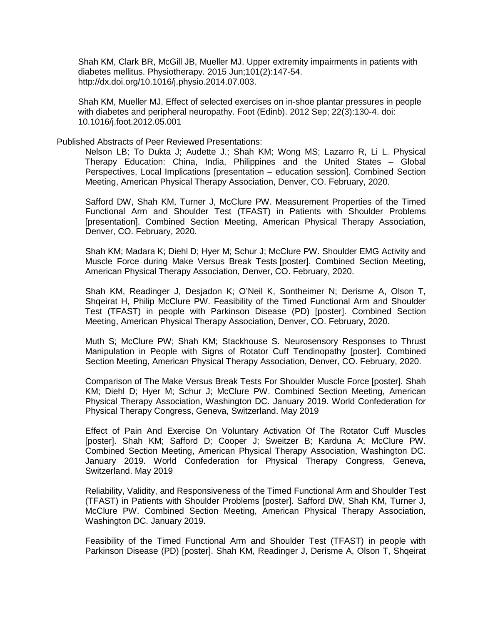Shah KM, Clark BR, McGill JB, Mueller MJ. Upper extremity impairments in patients with diabetes mellitus. Physiotherapy. 2015 Jun;101(2):147-54. http://dx.doi.org/10.1016/j.physio.2014.07.003.

Shah KM, Mueller MJ. Effect of selected exercises on in-shoe plantar pressures in people with diabetes and peripheral neuropathy. Foot (Edinb). 2012 Sep; 22(3):130-4. doi: 10.1016/j.foot.2012.05.001

### Published Abstracts of Peer Reviewed Presentations:

Nelson LB; To Dukta J; Audette J.; Shah KM; Wong MS; Lazarro R, Li L. Physical Therapy Education: China, India, Philippines and the United States – Global Perspectives, Local Implications [presentation – education session]. Combined Section Meeting, American Physical Therapy Association, Denver, CO. February, 2020.

Safford DW, Shah KM, Turner J, McClure PW. Measurement Properties of the Timed Functional Arm and Shoulder Test (TFAST) in Patients with Shoulder Problems [presentation]. Combined Section Meeting, American Physical Therapy Association, Denver, CO. February, 2020.

Shah KM; Madara K; Diehl D; Hyer M; Schur J; McClure PW. Shoulder EMG Activity and Muscle Force during Make Versus Break Tests [poster]. Combined Section Meeting, American Physical Therapy Association, Denver, CO. February, 2020.

Shah KM, Readinger J, Desjadon K; O'Neil K, Sontheimer N; Derisme A, Olson T, Shqeirat H, Philip McClure PW. Feasibility of the Timed Functional Arm and Shoulder Test (TFAST) in people with Parkinson Disease (PD) [poster]. Combined Section Meeting, American Physical Therapy Association, Denver, CO. February, 2020.

Muth S; McClure PW; Shah KM; Stackhouse S. Neurosensory Responses to Thrust Manipulation in People with Signs of Rotator Cuff Tendinopathy [poster]. Combined Section Meeting, American Physical Therapy Association, Denver, CO. February, 2020.

Comparison of The Make Versus Break Tests For Shoulder Muscle Force [poster]. Shah KM; Diehl D; Hyer M; Schur J; McClure PW. Combined Section Meeting, American Physical Therapy Association, Washington DC. January 2019. World Confederation for Physical Therapy Congress, Geneva, Switzerland. May 2019

Effect of Pain And Exercise On Voluntary Activation Of The Rotator Cuff Muscles [poster]. Shah KM; Safford D; Cooper J; Sweitzer B; Karduna A; McClure PW. Combined Section Meeting, American Physical Therapy Association, Washington DC. January 2019. World Confederation for Physical Therapy Congress, Geneva, Switzerland. May 2019

Reliability, Validity, and Responsiveness of the Timed Functional Arm and Shoulder Test (TFAST) in Patients with Shoulder Problems [poster]. Safford DW, Shah KM, Turner J, McClure PW. Combined Section Meeting, American Physical Therapy Association, Washington DC. January 2019.

Feasibility of the Timed Functional Arm and Shoulder Test (TFAST) in people with Parkinson Disease (PD) [poster]. Shah KM, Readinger J, Derisme A, Olson T, Shqeirat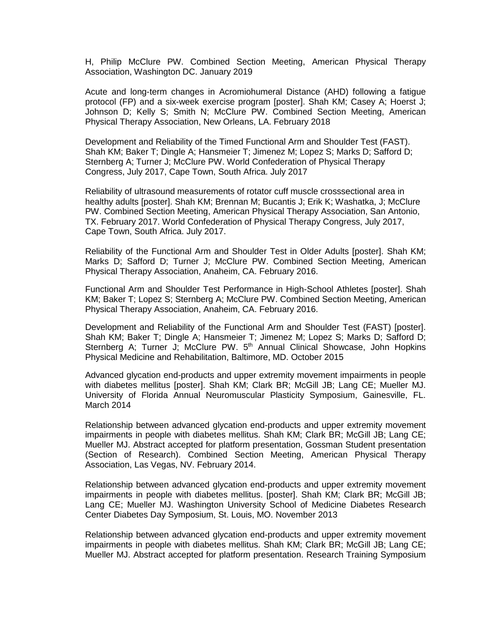H, Philip McClure PW. Combined Section Meeting, American Physical Therapy Association, Washington DC. January 2019

Acute and long-term changes in Acromiohumeral Distance (AHD) following a fatigue protocol (FP) and a six-week exercise program [poster]. Shah KM; Casey A; Hoerst J; Johnson D; Kelly S; Smith N; McClure PW. Combined Section Meeting, American Physical Therapy Association, New Orleans, LA. February 2018

Development and Reliability of the Timed Functional Arm and Shoulder Test (FAST). Shah KM; Baker T; Dingle A; Hansmeier T; Jimenez M; Lopez S; Marks D; Safford D; Sternberg A; Turner J; McClure PW. World Confederation of Physical Therapy Congress, July 2017, Cape Town, South Africa. July 2017

Reliability of ultrasound measurements of rotator cuff muscle crosssectional area in healthy adults [poster]. Shah KM; Brennan M; Bucantis J; Erik K; Washatka, J; McClure PW. Combined Section Meeting, American Physical Therapy Association, San Antonio, TX. February 2017. World Confederation of Physical Therapy Congress, July 2017, Cape Town, South Africa. July 2017.

Reliability of the Functional Arm and Shoulder Test in Older Adults [poster]. Shah KM; Marks D; Safford D; Turner J; McClure PW. Combined Section Meeting, American Physical Therapy Association, Anaheim, CA. February 2016.

Functional Arm and Shoulder Test Performance in High-School Athletes [poster]. Shah KM; Baker T; Lopez S; Sternberg A; McClure PW. Combined Section Meeting, American Physical Therapy Association, Anaheim, CA. February 2016.

Development and Reliability of the Functional Arm and Shoulder Test (FAST) [poster]. Shah KM; Baker T; Dingle A; Hansmeier T; Jimenez M; Lopez S; Marks D; Safford D; Sternberg A; Turner J; McClure PW. 5<sup>th</sup> Annual Clinical Showcase, John Hopkins Physical Medicine and Rehabilitation, Baltimore, MD. October 2015

Advanced glycation end-products and upper extremity movement impairments in people with diabetes mellitus [poster]. Shah KM; Clark BR; McGill JB; Lang CE; Mueller MJ. University of Florida Annual Neuromuscular Plasticity Symposium, Gainesville, FL. March 2014

Relationship between advanced glycation end-products and upper extremity movement impairments in people with diabetes mellitus. Shah KM; Clark BR; McGill JB; Lang CE; Mueller MJ. Abstract accepted for platform presentation, Gossman Student presentation (Section of Research). Combined Section Meeting, American Physical Therapy Association, Las Vegas, NV. February 2014.

Relationship between advanced glycation end-products and upper extremity movement impairments in people with diabetes mellitus. [poster]. Shah KM; Clark BR; McGill JB; Lang CE; Mueller MJ. Washington University School of Medicine Diabetes Research Center Diabetes Day Symposium, St. Louis, MO. November 2013

Relationship between advanced glycation end-products and upper extremity movement impairments in people with diabetes mellitus. Shah KM; Clark BR; McGill JB; Lang CE; Mueller MJ. Abstract accepted for platform presentation. Research Training Symposium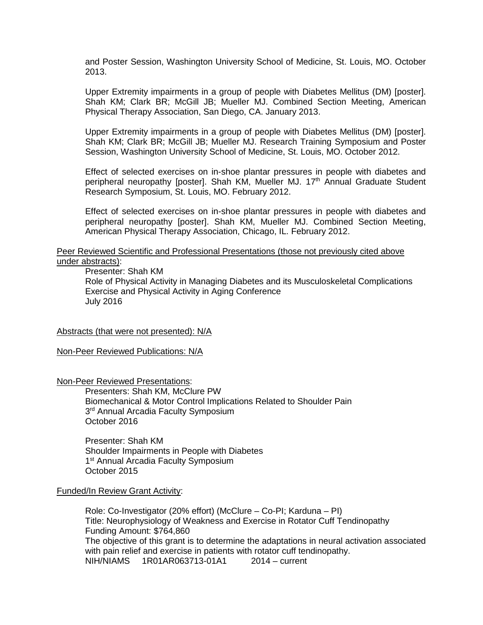and Poster Session, Washington University School of Medicine, St. Louis, MO. October 2013.

Upper Extremity impairments in a group of people with Diabetes Mellitus (DM) [poster]. Shah KM; Clark BR; McGill JB; Mueller MJ. Combined Section Meeting, American Physical Therapy Association, San Diego, CA. January 2013.

Upper Extremity impairments in a group of people with Diabetes Mellitus (DM) [poster]. Shah KM; Clark BR; McGill JB; Mueller MJ. Research Training Symposium and Poster Session, Washington University School of Medicine, St. Louis, MO. October 2012.

Effect of selected exercises on in-shoe plantar pressures in people with diabetes and peripheral neuropathy [poster]. Shah KM, Mueller MJ. 17<sup>th</sup> Annual Graduate Student Research Symposium, St. Louis, MO. February 2012.

Effect of selected exercises on in-shoe plantar pressures in people with diabetes and peripheral neuropathy [poster]. Shah KM, Mueller MJ. Combined Section Meeting, American Physical Therapy Association, Chicago, IL. February 2012.

### Peer Reviewed Scientific and Professional Presentations (those not previously cited above under abstracts):

Presenter: Shah KM

Role of Physical Activity in Managing Diabetes and its Musculoskeletal Complications Exercise and Physical Activity in Aging Conference July 2016

# Abstracts (that were not presented): N/A

Non-Peer Reviewed Publications: N/A

Non-Peer Reviewed Presentations:

Presenters: Shah KM, McClure PW Biomechanical & Motor Control Implications Related to Shoulder Pain 3<sup>rd</sup> Annual Arcadia Faculty Symposium October 2016

Presenter: Shah KM Shoulder Impairments in People with Diabetes 1<sup>st</sup> Annual Arcadia Faculty Symposium October 2015

# Funded/In Review Grant Activity:

Role: Co-Investigator (20% effort) (McClure – Co-PI; Karduna – PI) Title: Neurophysiology of Weakness and Exercise in Rotator Cuff Tendinopathy Funding Amount: \$764,860 The objective of this grant is to determine the adaptations in neural activation associated with pain relief and exercise in patients with rotator cuff tendinopathy. NIH/NIAMS 1R01AR063713-01A1 2014 – current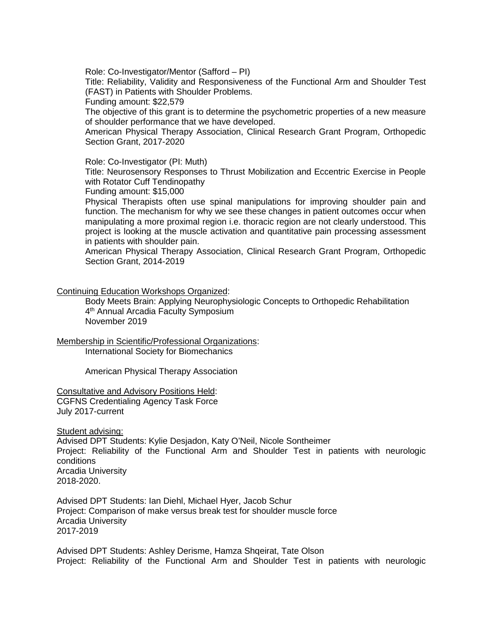Role: Co-Investigator/Mentor (Safford – PI)

Title: Reliability, Validity and Responsiveness of the Functional Arm and Shoulder Test (FAST) in Patients with Shoulder Problems.

Funding amount: \$22,579

The objective of this grant is to determine the psychometric properties of a new measure of shoulder performance that we have developed.

American Physical Therapy Association, Clinical Research Grant Program, Orthopedic Section Grant, 2017-2020

### Role: Co-Investigator (PI: Muth)

Title: Neurosensory Responses to Thrust Mobilization and Eccentric Exercise in People with Rotator Cuff Tendinopathy

Funding amount: \$15,000

Physical Therapists often use spinal manipulations for improving shoulder pain and function. The mechanism for why we see these changes in patient outcomes occur when manipulating a more proximal region i.e. thoracic region are not clearly understood. This project is looking at the muscle activation and quantitative pain processing assessment in patients with shoulder pain.

American Physical Therapy Association, Clinical Research Grant Program, Orthopedic Section Grant, 2014-2019

Continuing Education Workshops Organized:

Body Meets Brain: Applying Neurophysiologic Concepts to Orthopedic Rehabilitation 4<sup>th</sup> Annual Arcadia Faculty Symposium November 2019

Membership in Scientific/Professional Organizations:

International Society for Biomechanics

American Physical Therapy Association

Consultative and Advisory Positions Held: CGFNS Credentialing Agency Task Force July 2017-current

Student advising:

Advised DPT Students: Kylie Desjadon, Katy O'Neil, Nicole Sontheimer Project: Reliability of the Functional Arm and Shoulder Test in patients with neurologic conditions Arcadia University 2018-2020.

Advised DPT Students: Ian Diehl, Michael Hyer, Jacob Schur Project: Comparison of make versus break test for shoulder muscle force Arcadia University 2017-2019

Advised DPT Students: Ashley Derisme, Hamza Shqeirat, Tate Olson Project: Reliability of the Functional Arm and Shoulder Test in patients with neurologic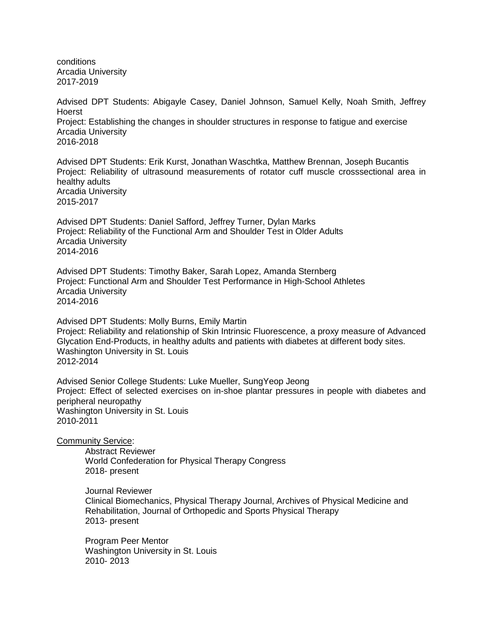conditions Arcadia University 2017-2019

Advised DPT Students: Abigayle Casey, Daniel Johnson, Samuel Kelly, Noah Smith, Jeffrey Hoerst Project: Establishing the changes in shoulder structures in response to fatigue and exercise Arcadia University 2016-2018

Advised DPT Students: Erik Kurst, Jonathan Waschtka, Matthew Brennan, Joseph Bucantis Project: Reliability of ultrasound measurements of rotator cuff muscle crosssectional area in healthy adults Arcadia University 2015-2017

Advised DPT Students: Daniel Safford, Jeffrey Turner, Dylan Marks Project: Reliability of the Functional Arm and Shoulder Test in Older Adults Arcadia University 2014-2016

Advised DPT Students: Timothy Baker, Sarah Lopez, Amanda Sternberg Project: Functional Arm and Shoulder Test Performance in High-School Athletes Arcadia University 2014-2016

Advised DPT Students: Molly Burns, Emily Martin Project: Reliability and relationship of Skin Intrinsic Fluorescence, a proxy measure of Advanced Glycation End-Products, in healthy adults and patients with diabetes at different body sites. Washington University in St. Louis 2012-2014

Advised Senior College Students: Luke Mueller, SungYeop Jeong Project: Effect of selected exercises on in-shoe plantar pressures in people with diabetes and peripheral neuropathy Washington University in St. Louis 2010-2011

Community Service:

Abstract Reviewer World Confederation for Physical Therapy Congress 2018- present

Journal Reviewer Clinical Biomechanics, Physical Therapy Journal, Archives of Physical Medicine and Rehabilitation, Journal of Orthopedic and Sports Physical Therapy 2013- present

Program Peer Mentor Washington University in St. Louis 2010- 2013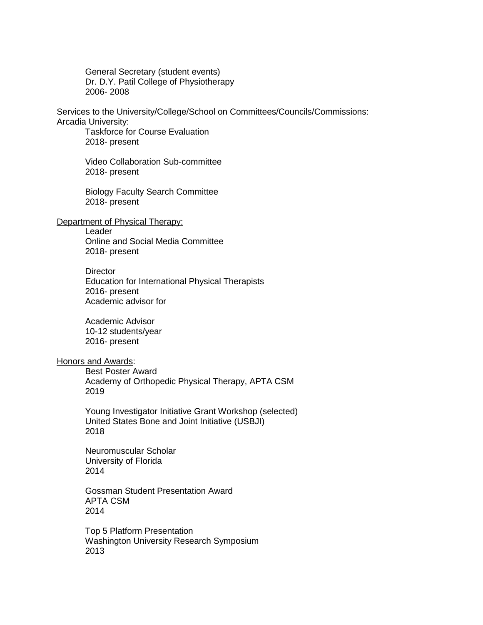General Secretary (student events) Dr. D.Y. Patil College of Physiotherapy 2006- 2008

#### Services to the University/College/School on Committees/Councils/Commissions: Arcadia University:

Taskforce for Course Evaluation 2018- present

Video Collaboration Sub-committee 2018- present

Biology Faculty Search Committee 2018- present

# Department of Physical Therapy:

Leader

Online and Social Media Committee 2018- present

**Director** Education for International Physical Therapists 2016- present Academic advisor for

Academic Advisor 10-12 students/year 2016- present

# Honors and Awards:

Best Poster Award Academy of Orthopedic Physical Therapy, APTA CSM 2019

Young Investigator Initiative Grant Workshop (selected) United States Bone and Joint Initiative (USBJI) 2018

Neuromuscular Scholar University of Florida 2014

Gossman Student Presentation Award APTA CSM 2014

Top 5 Platform Presentation Washington University Research Symposium 2013